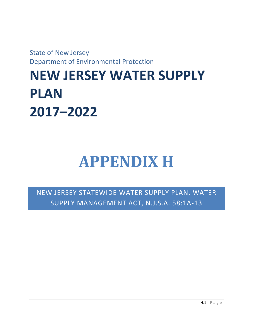State of New Jersey Department of Environmental Protection

## **NEW JERSEY WATER SUPPLY PLAN 2017–2022**

# **APPENDIX H**

NEW JERSEY STATEWIDE WATER SUPPLY PLAN, WATER SUPPLY MANAGEMENT ACT, N.J.S.A. 58:1A-13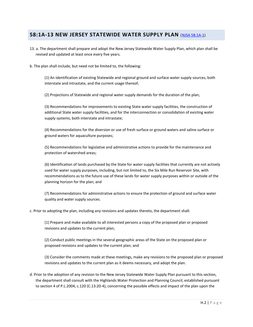#### **58:1A-13 NEW JERSEY STATEWIDE WATER SUPPLY PLAN** [\(NJSA 58:1A-1\)](http://www.state.nj.us/dep/watersupply/pdf/njsa_58_1a_1.pdf)

- 13. a. The department shall prepare and adopt the New Jersey Statewide Water Supply Plan, which plan shall be revised and updated at least once every five years.
- b. The plan shall include, but need not be limited to, the following:

(1) An identification of existing Statewide and regional ground and surface water supply sources, both interstate and intrastate, and the current usage thereof;

(2) Projections of Statewide and regional water supply demands for the duration of the plan;

(3) Recommendations for improvements to existing State water supply facilities, the construction of additional State water supply facilities, and for the interconnection or consolidation of existing water supply systems, both interstate and intrastate;

(4) Recommendations for the diversion or use of fresh surface or ground waters and saline surface or ground waters for aquaculture purposes;

(5) Recommendations for legislative and administrative actions to provide for the maintenance and protection of watershed areas;

(6) Identification of lands purchased by the State for water supply facilities that currently are not actively used for water supply purposes, including, but not limited to, the Six Mile Run Reservoir Site, with recommendations as to the future use of these lands for water supply purposes within or outside of the planning horizon for the plan; and

(7) Recommendations for administrative actions to ensure the protection of ground and surface water quality and water supply sources.

c. Prior to adopting the plan, including any revisions and updates thereto, the department shall:

(1) Prepare and make available to all interested persons a copy of the proposed plan or proposed revisions and updates to the current plan;

(2) Conduct public meetings in the several geographic areas of the State on the proposed plan or proposed revisions and updates to the current plan; and

(3) Consider the comments made at these meetings, make any revisions to the proposed plan or proposed revisions and updates to the current plan as it deems necessary, and adopt the plan.

d. Prior to the adoption of any revision to the New Jersey Statewide Water Supply Plan pursuant to this section, the department shall consult with the Highlands Water Protection and Planning Council, established pursuant to section 4 of P.L.2004, c.120 (C.13:20-4), concerning the possible effects and impact of the plan upon the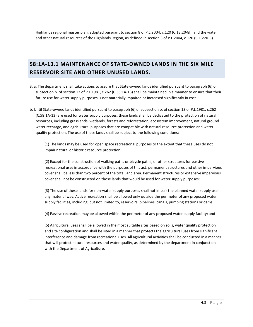Highlands regional master plan, adopted pursuant to section 8 of P.L.2004, c.120 (C.13:20-8l), and the water and other natural resources of the Highlands Region, as defined in section 3 of P.L.2004, c.120 (C.13:20-3).

#### **58:1A-13.1 MAINTENANCE OF STATE-OWNED LANDS IN THE SIX MILE RESERVOIR SITE AND OTHER UNUSED LANDS.**

- 3. a. The department shall take actions to assure that State-owned lands identified pursuant to paragraph (6) of subsection b. of section 13 of P.L.1981, c.262 (C.58:1A-13) shall be maintained in a manner to ensure that their future use for water supply purposes is not materially impaired or increased significantly in cost.
- b. Until State-owned lands identified pursuant to paragraph (6) of subsection b. of section 13 of P.L.1981, c.262 (C.58:1A-13) are used for water supply purposes, these lands shall be dedicated to the protection of natural resources, including grasslands, wetlands, forests and reforestation, ecosystem improvement, natural ground water recharge, and agricultural purposes that are compatible with natural resource protection and water quality protection. The use of these lands shall be subject to the following conditions:

(1) The lands may be used for open space recreational purposes to the extent that these uses do not impair natural or historic resource protection;

(2) Except for the construction of walking paths or bicycle paths, or other structures for passive recreational uses in accordance with the purposes of this act, permanent structures and other impervious cover shall be less than two percent of the total land area. Permanent structures or extensive impervious cover shall not be constructed on those lands that would be used for water supply purposes;

(3) The use of these lands for non-water supply purposes shall not impair the planned water supply use in any material way. Active recreation shall be allowed only outside the perimeter of any proposed water supply facilities, including, but not limited to, reservoirs, pipelines, canals, pumping stations or dams;

(4) Passive recreation may be allowed within the perimeter of any proposed water supply facility; and

(5) Agricultural uses shall be allowed in the most suitable sites based on soils, water quality protection and site configuration and shall be sited in a manner that protects the agricultural uses from significant interference and damage from recreational uses. All agricultural activities shall be conducted in a manner that will protect natural resources and water quality, as determined by the department in conjunction with the Department of Agriculture.